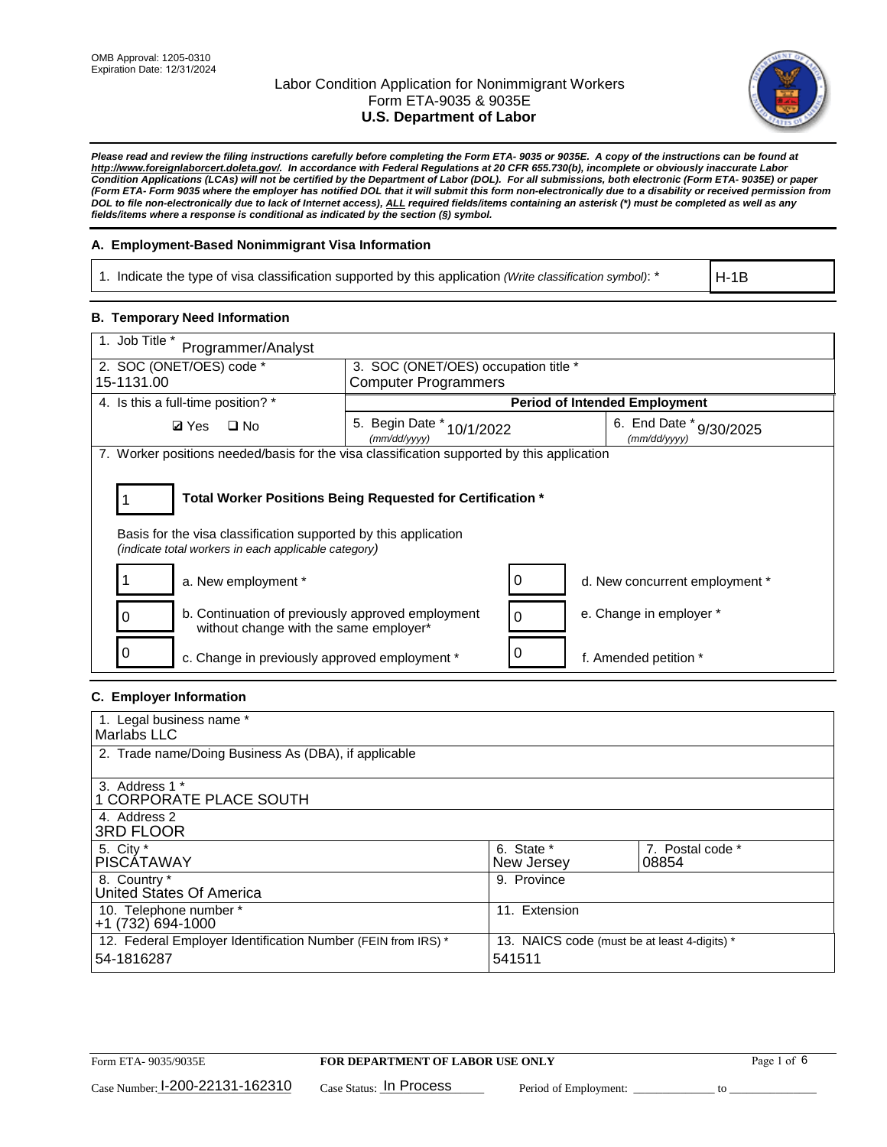

*Please read and review the filing instructions carefully before completing the Form ETA- 9035 or 9035E. A copy of the instructions can be found at http://www.foreignlaborcert.doleta.gov/. In accordance with Federal Regulations at 20 CFR 655.730(b), incomplete or obviously inaccurate Labor Condition Applications (LCAs) will not be certified by the Department of Labor (DOL). For all submissions, both electronic (Form ETA- 9035E) or paper (Form ETA- Form 9035 where the employer has notified DOL that it will submit this form non-electronically due to a disability or received permission from DOL to file non-electronically due to lack of Internet access), ALL required fields/items containing an asterisk (\*) must be completed as well as any fields/items where a response is conditional as indicated by the section (§) symbol.* 

### **A. Employment-Based Nonimmigrant Visa Information**

1. Indicate the type of visa classification supported by this application *(Write classification symbol)*: \*

H-1B

### **B. Temporary Need Information**

| 1. Job Title *<br>Programmer/Analyst                                                                                                                                                  |                                              |                                      |                                         |  |  |
|---------------------------------------------------------------------------------------------------------------------------------------------------------------------------------------|----------------------------------------------|--------------------------------------|-----------------------------------------|--|--|
| 2. SOC (ONET/OES) code *                                                                                                                                                              |                                              | 3. SOC (ONET/OES) occupation title * |                                         |  |  |
| 15-1131.00                                                                                                                                                                            | <b>Computer Programmers</b>                  |                                      |                                         |  |  |
| 4. Is this a full-time position? *                                                                                                                                                    |                                              |                                      | <b>Period of Intended Employment</b>    |  |  |
| $\Box$ No<br><b>Ø</b> Yes                                                                                                                                                             | 5. Begin Date *<br>10/1/2022<br>(mm/dd/yyyy) |                                      | 6. End Date * 9/30/2025<br>(mm/dd/vvvv) |  |  |
| 7. Worker positions needed/basis for the visa classification supported by this application                                                                                            |                                              |                                      |                                         |  |  |
| Total Worker Positions Being Requested for Certification *<br>Basis for the visa classification supported by this application<br>(indicate total workers in each applicable category) |                                              |                                      |                                         |  |  |
| a. New employment *                                                                                                                                                                   |                                              | 0                                    | d. New concurrent employment *          |  |  |
| b. Continuation of previously approved employment<br>without change with the same employer*                                                                                           |                                              | 0                                    | e. Change in employer *                 |  |  |
| c. Change in previously approved employment *                                                                                                                                         |                                              |                                      | f. Amended petition *                   |  |  |

#### **C. Employer Information**

| 1. Legal business name *                                     |                                              |                  |
|--------------------------------------------------------------|----------------------------------------------|------------------|
| Marlabs LLC                                                  |                                              |                  |
| 2. Trade name/Doing Business As (DBA), if applicable         |                                              |                  |
|                                                              |                                              |                  |
| 3. Address 1 *                                               |                                              |                  |
| 1 CORPORATE PLACE SOUTH                                      |                                              |                  |
| 4. Address 2                                                 |                                              |                  |
| <b>3RD FLOOR</b>                                             |                                              |                  |
| 5. City *                                                    | 6. State *                                   | 7. Postal code * |
| PISCÁTAWAY                                                   | New Jersey                                   | 08854            |
| 8. Country *                                                 | 9. Province                                  |                  |
| United States Of America                                     |                                              |                  |
| 10. Telephone number *                                       | 11. Extension                                |                  |
| $+1(732)694-1000$                                            |                                              |                  |
| 12. Federal Employer Identification Number (FEIN from IRS) * | 13. NAICS code (must be at least 4-digits) * |                  |
| 54-1816287                                                   | 541511                                       |                  |
|                                                              |                                              |                  |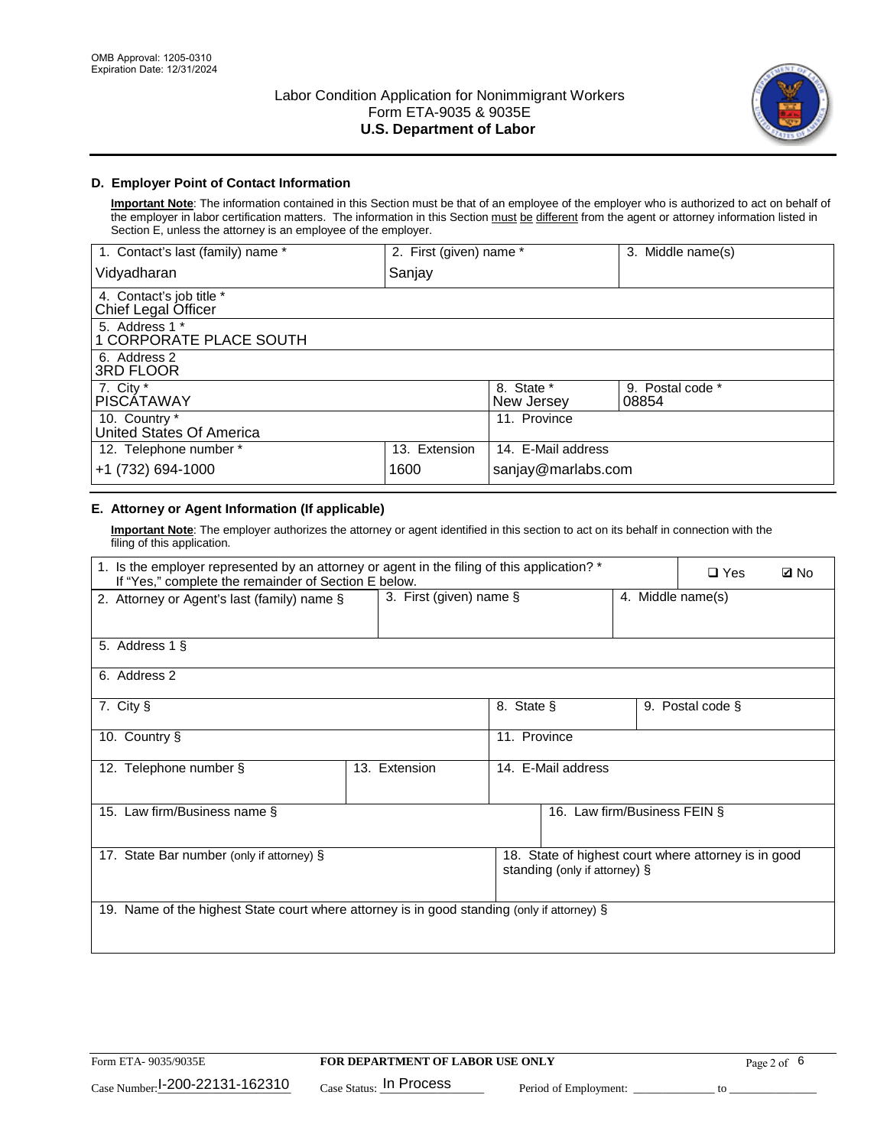

## **D. Employer Point of Contact Information**

**Important Note**: The information contained in this Section must be that of an employee of the employer who is authorized to act on behalf of the employer in labor certification matters. The information in this Section must be different from the agent or attorney information listed in Section E, unless the attorney is an employee of the employer.

| 1. Contact's last (family) name *               | 2. First (given) name * |                          | 3. Middle name(s)         |
|-------------------------------------------------|-------------------------|--------------------------|---------------------------|
| Vidyadharan                                     | Sanjay                  |                          |                           |
| 4. Contact's job title *<br>Chief Legal Officer |                         |                          |                           |
| 5. Address 1 *<br>1 CORPORATE PLACE SOUTH       |                         |                          |                           |
| 6. Address 2<br>3RD FLOOR                       |                         |                          |                           |
| 7. City $*$<br><b>PISCÁTAWAY</b>                |                         | 8. State *<br>New Jersey | 9. Postal code *<br>08854 |
| 10. Country *<br>United States Of America       |                         | 11. Province             |                           |
| 12. Telephone number *                          | 13. Extension           | 14. E-Mail address       |                           |
| +1 (732) 694-1000                               | 1600                    | sanjay@marlabs.com       |                           |

## **E. Attorney or Agent Information (If applicable)**

**Important Note**: The employer authorizes the attorney or agent identified in this section to act on its behalf in connection with the filing of this application.

| 1. Is the employer represented by an attorney or agent in the filing of this application? *<br>If "Yes," complete the remainder of Section E below. |                            |              |                               |                   | $\Box$ Yes                                           | <b>Ø</b> No |
|-----------------------------------------------------------------------------------------------------------------------------------------------------|----------------------------|--------------|-------------------------------|-------------------|------------------------------------------------------|-------------|
| 2. Attorney or Agent's last (family) name §                                                                                                         | 3. First (given) name $\S$ |              |                               | 4. Middle name(s) |                                                      |             |
| 5. Address 1 §                                                                                                                                      |                            |              |                               |                   |                                                      |             |
| 6. Address 2                                                                                                                                        |                            |              |                               |                   |                                                      |             |
| 7. City §                                                                                                                                           |                            | 8. State §   |                               |                   | 9. Postal code §                                     |             |
| 10. Country §                                                                                                                                       |                            | 11. Province |                               |                   |                                                      |             |
| 12. Telephone number §                                                                                                                              | 13. Extension              |              | 14. E-Mail address            |                   |                                                      |             |
| 15. Law firm/Business name §                                                                                                                        |                            |              | 16. Law firm/Business FEIN §  |                   |                                                      |             |
| 17. State Bar number (only if attorney) §                                                                                                           |                            |              | standing (only if attorney) § |                   | 18. State of highest court where attorney is in good |             |
| 19. Name of the highest State court where attorney is in good standing (only if attorney) §                                                         |                            |              |                               |                   |                                                      |             |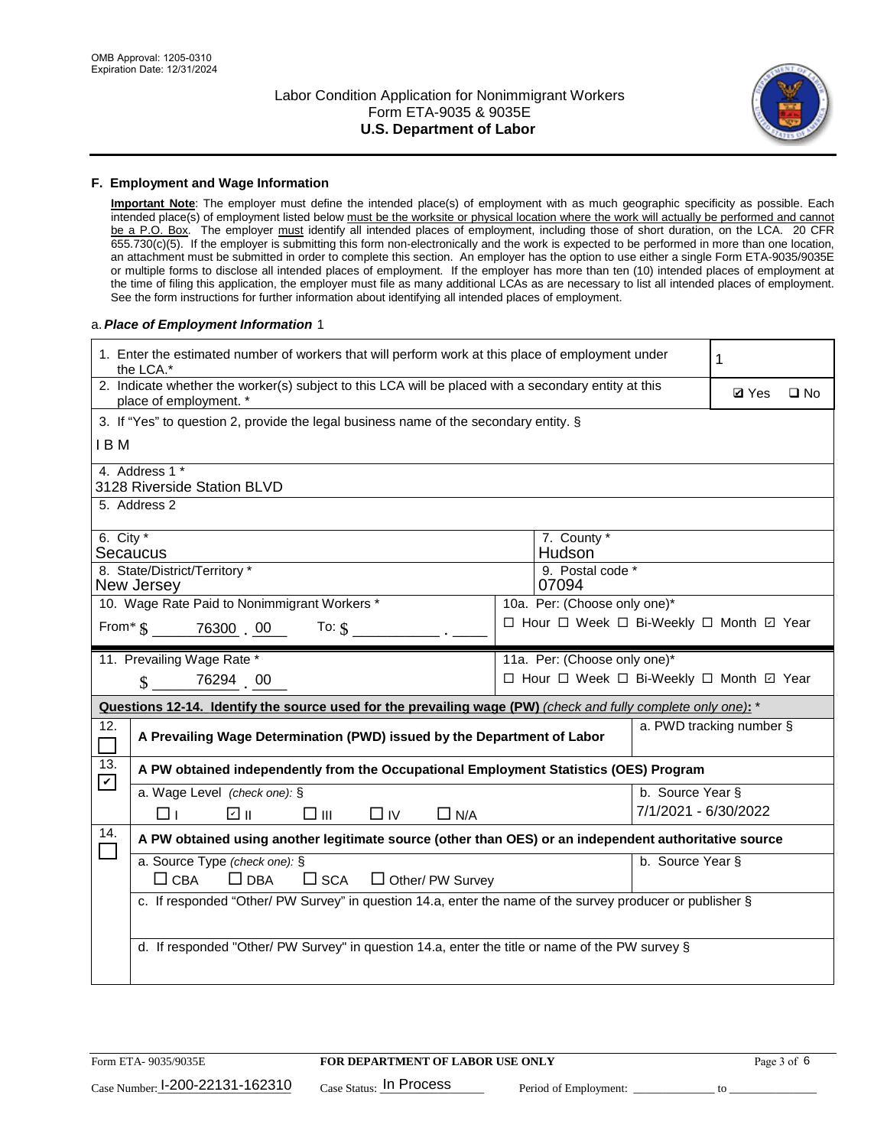

#### **F. Employment and Wage Information**

**Important Note**: The employer must define the intended place(s) of employment with as much geographic specificity as possible. Each intended place(s) of employment listed below must be the worksite or physical location where the work will actually be performed and cannot be a P.O. Box. The employer must identify all intended places of employment, including those of short duration, on the LCA. 20 CFR 655.730(c)(5). If the employer is submitting this form non-electronically and the work is expected to be performed in more than one location, an attachment must be submitted in order to complete this section. An employer has the option to use either a single Form ETA-9035/9035E or multiple forms to disclose all intended places of employment. If the employer has more than ten (10) intended places of employment at the time of filing this application, the employer must file as many additional LCAs as are necessary to list all intended places of employment. See the form instructions for further information about identifying all intended places of employment.

#### a.*Place of Employment Information* 1

|                                                                                    | 1. Enter the estimated number of workers that will perform work at this place of employment under<br>the LCA.*                 |  |                                          |                      |              |              |
|------------------------------------------------------------------------------------|--------------------------------------------------------------------------------------------------------------------------------|--|------------------------------------------|----------------------|--------------|--------------|
|                                                                                    | 2. Indicate whether the worker(s) subject to this LCA will be placed with a secondary entity at this<br>place of employment. * |  |                                          |                      | <b>Ø</b> Yes | $\square$ No |
|                                                                                    | 3. If "Yes" to question 2, provide the legal business name of the secondary entity. §                                          |  |                                          |                      |              |              |
| I B M                                                                              |                                                                                                                                |  |                                          |                      |              |              |
|                                                                                    | 4. Address 1 *<br>3128 Riverside Station BLVD                                                                                  |  |                                          |                      |              |              |
|                                                                                    | 5. Address 2                                                                                                                   |  |                                          |                      |              |              |
| 6. City $*$                                                                        | Secaucus                                                                                                                       |  | 7. County *<br>Hudson                    |                      |              |              |
|                                                                                    | 8. State/District/Territory *<br>New Jersey                                                                                    |  | 9. Postal code *<br>07094                |                      |              |              |
|                                                                                    | 10. Wage Rate Paid to Nonimmigrant Workers *                                                                                   |  | 10a. Per: (Choose only one)*             |                      |              |              |
| □ Hour □ Week □ Bi-Weekly □ Month ☑ Year<br>From $\frac{1}{5}$ 76300 00<br>To: $$$ |                                                                                                                                |  |                                          |                      |              |              |
|                                                                                    | 11. Prevailing Wage Rate *                                                                                                     |  | 11a. Per: (Choose only one)*             |                      |              |              |
|                                                                                    | 76294 00<br>$\mathbf{\$}$                                                                                                      |  | □ Hour □ Week □ Bi-Weekly □ Month ☑ Year |                      |              |              |
|                                                                                    | Questions 12-14. Identify the source used for the prevailing wage (PW) (check and fully complete only one): *                  |  |                                          |                      |              |              |
| 12.<br>$\Box$                                                                      | a. PWD tracking number §<br>A Prevailing Wage Determination (PWD) issued by the Department of Labor                            |  |                                          |                      |              |              |
| 13.<br>$\mathbf v$                                                                 | A PW obtained independently from the Occupational Employment Statistics (OES) Program                                          |  |                                          |                      |              |              |
|                                                                                    | a. Wage Level (check one): §                                                                                                   |  |                                          | b. Source Year §     |              |              |
|                                                                                    | பெ<br>□⊪<br>□⊥<br>$\Box$ IV<br>$\Box$ N/A                                                                                      |  |                                          | 7/1/2021 - 6/30/2022 |              |              |
| 14.                                                                                | A PW obtained using another legitimate source (other than OES) or an independent authoritative source                          |  |                                          |                      |              |              |
|                                                                                    | a. Source Type (check one): §<br>$\Box$ CBA<br>$\Box$ DBA<br>$\square$ SCA<br>$\Box$ Other/ PW Survey                          |  |                                          | b. Source Year §     |              |              |
|                                                                                    | c. If responded "Other/ PW Survey" in question 14.a, enter the name of the survey producer or publisher §                      |  |                                          |                      |              |              |
|                                                                                    | d. If responded "Other/ PW Survey" in question 14.a, enter the title or name of the PW survey §                                |  |                                          |                      |              |              |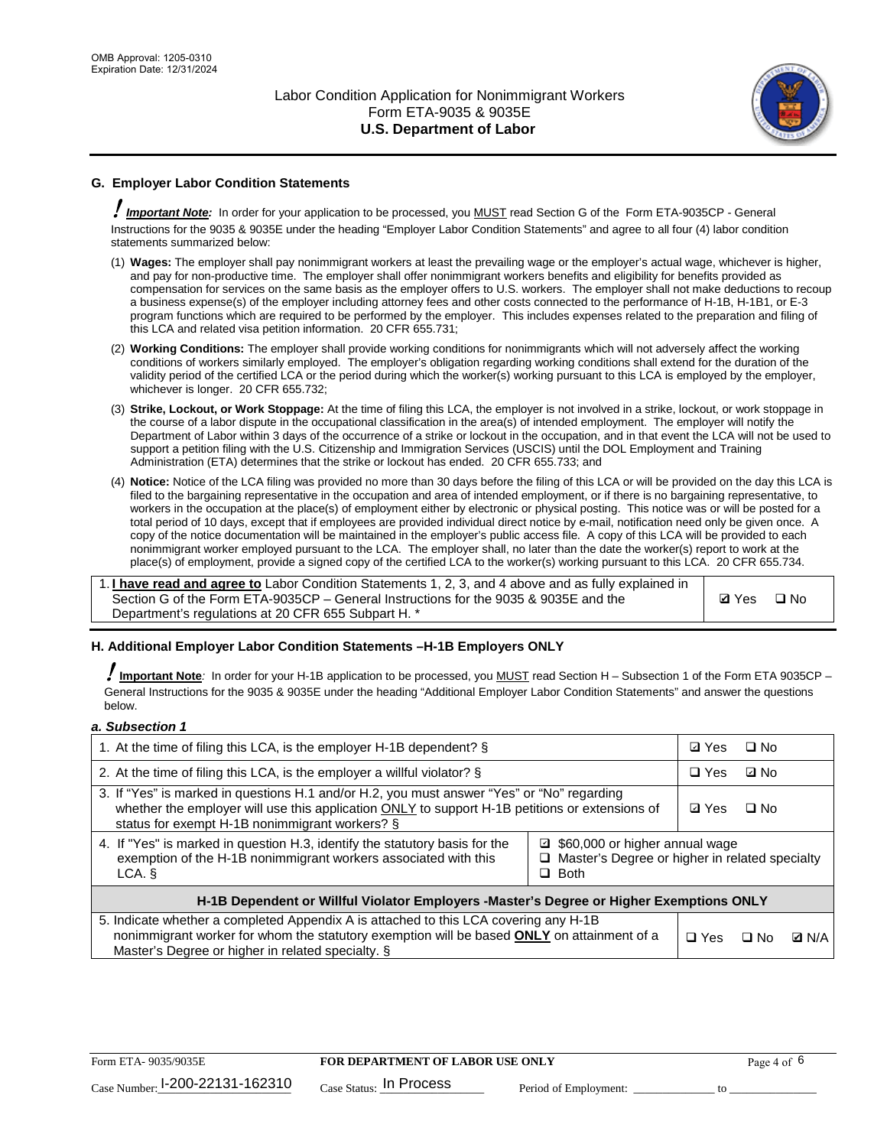

## **G. Employer Labor Condition Statements**

! *Important Note:* In order for your application to be processed, you MUST read Section G of the Form ETA-9035CP - General Instructions for the 9035 & 9035E under the heading "Employer Labor Condition Statements" and agree to all four (4) labor condition statements summarized below:

- (1) **Wages:** The employer shall pay nonimmigrant workers at least the prevailing wage or the employer's actual wage, whichever is higher, and pay for non-productive time. The employer shall offer nonimmigrant workers benefits and eligibility for benefits provided as compensation for services on the same basis as the employer offers to U.S. workers. The employer shall not make deductions to recoup a business expense(s) of the employer including attorney fees and other costs connected to the performance of H-1B, H-1B1, or E-3 program functions which are required to be performed by the employer. This includes expenses related to the preparation and filing of this LCA and related visa petition information. 20 CFR 655.731;
- (2) **Working Conditions:** The employer shall provide working conditions for nonimmigrants which will not adversely affect the working conditions of workers similarly employed. The employer's obligation regarding working conditions shall extend for the duration of the validity period of the certified LCA or the period during which the worker(s) working pursuant to this LCA is employed by the employer, whichever is longer. 20 CFR 655.732;
- (3) **Strike, Lockout, or Work Stoppage:** At the time of filing this LCA, the employer is not involved in a strike, lockout, or work stoppage in the course of a labor dispute in the occupational classification in the area(s) of intended employment. The employer will notify the Department of Labor within 3 days of the occurrence of a strike or lockout in the occupation, and in that event the LCA will not be used to support a petition filing with the U.S. Citizenship and Immigration Services (USCIS) until the DOL Employment and Training Administration (ETA) determines that the strike or lockout has ended. 20 CFR 655.733; and
- (4) **Notice:** Notice of the LCA filing was provided no more than 30 days before the filing of this LCA or will be provided on the day this LCA is filed to the bargaining representative in the occupation and area of intended employment, or if there is no bargaining representative, to workers in the occupation at the place(s) of employment either by electronic or physical posting. This notice was or will be posted for a total period of 10 days, except that if employees are provided individual direct notice by e-mail, notification need only be given once. A copy of the notice documentation will be maintained in the employer's public access file. A copy of this LCA will be provided to each nonimmigrant worker employed pursuant to the LCA. The employer shall, no later than the date the worker(s) report to work at the place(s) of employment, provide a signed copy of the certified LCA to the worker(s) working pursuant to this LCA. 20 CFR 655.734.

1. **I have read and agree to** Labor Condition Statements 1, 2, 3, and 4 above and as fully explained in Section G of the Form ETA-9035CP – General Instructions for the 9035 & 9035E and the Department's regulations at 20 CFR 655 Subpart H. \*

**Ø**Yes ロNo

#### **H. Additional Employer Labor Condition Statements –H-1B Employers ONLY**

!**Important Note***:* In order for your H-1B application to be processed, you MUST read Section H – Subsection 1 of the Form ETA 9035CP – General Instructions for the 9035 & 9035E under the heading "Additional Employer Labor Condition Statements" and answer the questions below.

#### *a. Subsection 1*

| 1. At the time of filing this LCA, is the employer H-1B dependent? §                                                                                                                                                                                            |  | ⊡ Yes | □ No      |              |
|-----------------------------------------------------------------------------------------------------------------------------------------------------------------------------------------------------------------------------------------------------------------|--|-------|-----------|--------------|
| 2. At the time of filing this LCA, is the employer a willful violator? $\S$                                                                                                                                                                                     |  |       | ⊡ No      |              |
| 3. If "Yes" is marked in questions H.1 and/or H.2, you must answer "Yes" or "No" regarding<br>whether the employer will use this application ONLY to support H-1B petitions or extensions of<br>status for exempt H-1B nonimmigrant workers? §                  |  |       | $\Box$ No |              |
| 4. If "Yes" is marked in question H.3, identify the statutory basis for the<br>■ \$60,000 or higher annual wage<br>exemption of the H-1B nonimmigrant workers associated with this<br>□ Master's Degree or higher in related specialty<br>$\Box$ Both<br>LCA. § |  |       |           |              |
| H-1B Dependent or Willful Violator Employers -Master's Degree or Higher Exemptions ONLY                                                                                                                                                                         |  |       |           |              |
| 5. Indicate whether a completed Appendix A is attached to this LCA covering any H-1B<br>nonimmigrant worker for whom the statutory exemption will be based <b>ONLY</b> on attainment of a<br>Master's Degree or higher in related specialty. §                  |  |       | ⊡ No      | <b>D</b> N/A |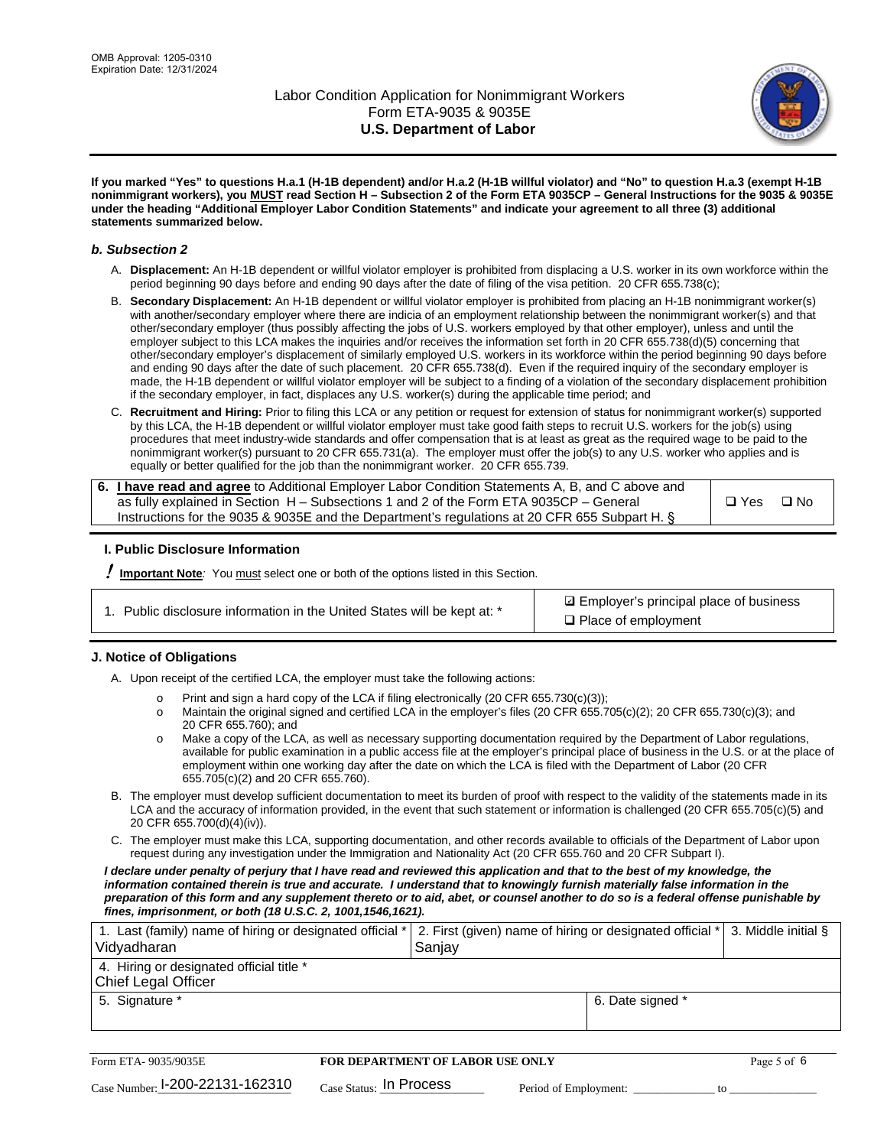

**If you marked "Yes" to questions H.a.1 (H-1B dependent) and/or H.a.2 (H-1B willful violator) and "No" to question H.a.3 (exempt H-1B nonimmigrant workers), you MUST read Section H – Subsection 2 of the Form ETA 9035CP – General Instructions for the 9035 & 9035E under the heading "Additional Employer Labor Condition Statements" and indicate your agreement to all three (3) additional statements summarized below.**

#### *b. Subsection 2*

- A. **Displacement:** An H-1B dependent or willful violator employer is prohibited from displacing a U.S. worker in its own workforce within the period beginning 90 days before and ending 90 days after the date of filing of the visa petition. 20 CFR 655.738(c);
- B. **Secondary Displacement:** An H-1B dependent or willful violator employer is prohibited from placing an H-1B nonimmigrant worker(s) with another/secondary employer where there are indicia of an employment relationship between the nonimmigrant worker(s) and that other/secondary employer (thus possibly affecting the jobs of U.S. workers employed by that other employer), unless and until the employer subject to this LCA makes the inquiries and/or receives the information set forth in 20 CFR 655.738(d)(5) concerning that other/secondary employer's displacement of similarly employed U.S. workers in its workforce within the period beginning 90 days before and ending 90 days after the date of such placement. 20 CFR 655.738(d). Even if the required inquiry of the secondary employer is made, the H-1B dependent or willful violator employer will be subject to a finding of a violation of the secondary displacement prohibition if the secondary employer, in fact, displaces any U.S. worker(s) during the applicable time period; and
- C. **Recruitment and Hiring:** Prior to filing this LCA or any petition or request for extension of status for nonimmigrant worker(s) supported by this LCA, the H-1B dependent or willful violator employer must take good faith steps to recruit U.S. workers for the job(s) using procedures that meet industry-wide standards and offer compensation that is at least as great as the required wage to be paid to the nonimmigrant worker(s) pursuant to 20 CFR 655.731(a). The employer must offer the job(s) to any U.S. worker who applies and is equally or better qualified for the job than the nonimmigrant worker. 20 CFR 655.739.

| 6. I have read and agree to Additional Employer Labor Condition Statements A, B, and C above and |       |           |
|--------------------------------------------------------------------------------------------------|-------|-----------|
| as fully explained in Section H – Subsections 1 and 2 of the Form ETA 9035CP – General           | □ Yes | $\Box$ No |
| Instructions for the 9035 & 9035E and the Department's regulations at 20 CFR 655 Subpart H. §    |       |           |

#### **I. Public Disclosure Information**

! **Important Note***:* You must select one or both of the options listed in this Section.

| 1. Public disclosure information in the United States will be kept at: * |  |  |  |  |  |  |  |
|--------------------------------------------------------------------------|--|--|--|--|--|--|--|
|--------------------------------------------------------------------------|--|--|--|--|--|--|--|

**sqrt** Employer's principal place of business □ Place of employment

#### **J. Notice of Obligations**

A. Upon receipt of the certified LCA, the employer must take the following actions:

- o Print and sign a hard copy of the LCA if filing electronically (20 CFR 655.730(c)(3));<br>
Maintain the original signed and certified LCA in the employer's files (20 CFR 655.7
- Maintain the original signed and certified LCA in the employer's files (20 CFR 655.705(c)(2); 20 CFR 655.730(c)(3); and 20 CFR 655.760); and
- o Make a copy of the LCA, as well as necessary supporting documentation required by the Department of Labor regulations, available for public examination in a public access file at the employer's principal place of business in the U.S. or at the place of employment within one working day after the date on which the LCA is filed with the Department of Labor (20 CFR 655.705(c)(2) and 20 CFR 655.760).
- B. The employer must develop sufficient documentation to meet its burden of proof with respect to the validity of the statements made in its LCA and the accuracy of information provided, in the event that such statement or information is challenged (20 CFR 655.705(c)(5) and 20 CFR 655.700(d)(4)(iv)).
- C. The employer must make this LCA, supporting documentation, and other records available to officials of the Department of Labor upon request during any investigation under the Immigration and Nationality Act (20 CFR 655.760 and 20 CFR Subpart I).

*I declare under penalty of perjury that I have read and reviewed this application and that to the best of my knowledge, the*  information contained therein is true and accurate. I understand that to knowingly furnish materially false information in the *preparation of this form and any supplement thereto or to aid, abet, or counsel another to do so is a federal offense punishable by fines, imprisonment, or both (18 U.S.C. 2, 1001,1546,1621).*

| 1. Last (family) name of hiring or designated official *   2. First (given) name of hiring or designated official *   3. Middle initial §<br>Vidyadharan | Saniav           |  |
|----------------------------------------------------------------------------------------------------------------------------------------------------------|------------------|--|
| 4. Hiring or designated official title *<br>Chief Legal Officer                                                                                          |                  |  |
| 5. Signature *                                                                                                                                           | 6. Date signed * |  |

| Form ETA-9035/9035E                         | <b>FOR DEPARTMENT OF LABOR USE ONLY</b> | Page 5 of 6           |  |
|---------------------------------------------|-----------------------------------------|-----------------------|--|
| $_{\text{Case Number:}}$ I-200-22131-162310 | $_{\rm Case~S status:}$ In Process      | Period of Employment: |  |